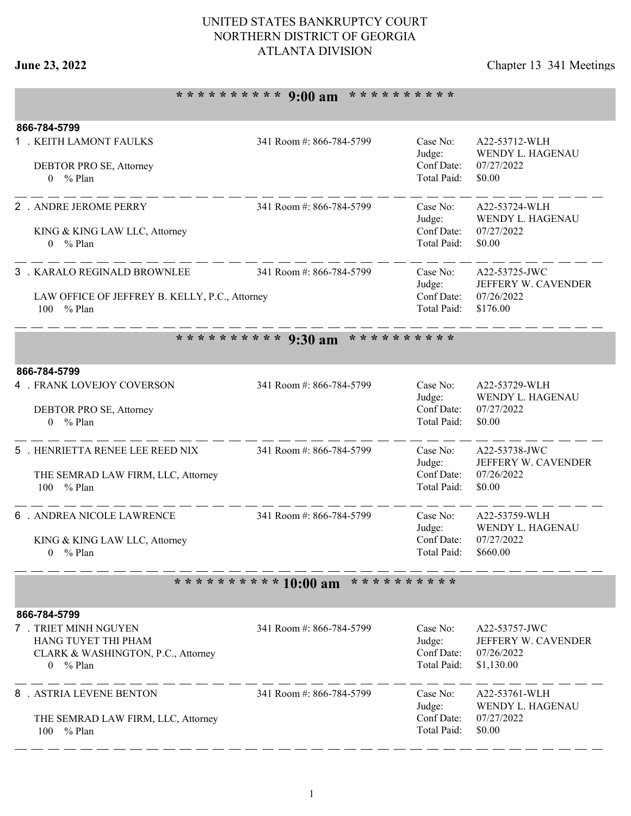## **June 23, 2022** Chapter 13 341 Meetings

## **\* \* \* \* \* \* \* \* \* \* 9:00 am \* \* \* \* \* \* \* \* \* \***

| 866-784-5799                                          |                                                |                          |                           |                                      |  |
|-------------------------------------------------------|------------------------------------------------|--------------------------|---------------------------|--------------------------------------|--|
| 1 . KEITH LAMONT FAULKS                               |                                                | 341 Room #: 866-784-5799 | Case No:<br>Judge:        | A22-53712-WLH<br>WENDY L. HAGENAU    |  |
| DEBTOR PRO SE, Attorney                               |                                                |                          | Conf Date:                | 07/27/2022                           |  |
| $0 \frac{9}{6}$ Plan                                  |                                                |                          | Total Paid:               | \$0.00                               |  |
| 2 . ANDRE JEROME PERRY                                |                                                | 341 Room #: 866-784-5799 | Case No:                  | A22-53724-WLH<br>WENDY L. HAGENAU    |  |
| KING & KING LAW LLC, Attorney                         |                                                |                          | Judge:<br>Conf Date:      | 07/27/2022                           |  |
| $0 \frac{9}{6}$ Plan                                  |                                                |                          | Total Paid:               | \$0.00                               |  |
| 3 . KARALO REGINALD BROWNLEE                          |                                                | 341 Room #: 866-784-5799 | Case No:                  | A22-53725-JWC                        |  |
|                                                       |                                                |                          | Judge:                    | JEFFERY W. CAVENDER                  |  |
|                                                       | LAW OFFICE OF JEFFREY B. KELLY, P.C., Attorney |                          | Conf Date:                | 07/26/2022                           |  |
| % Plan<br>100                                         |                                                |                          | Total Paid:               | \$176.00                             |  |
|                                                       | ********** 9:30 am<br>* * * * * * * * * *      |                          |                           |                                      |  |
|                                                       |                                                |                          |                           |                                      |  |
| 866-784-5799                                          |                                                |                          |                           |                                      |  |
| 4 . FRANK LOVEJOY COVERSON                            |                                                | 341 Room #: 866-784-5799 | Case No:<br>Judge:        | A22-53729-WLH<br>WENDY L. HAGENAU    |  |
| DEBTOR PRO SE, Attorney                               |                                                |                          | Conf Date:                | 07/27/2022                           |  |
| $0 \frac{9}{6}$ Plan                                  |                                                |                          | Total Paid:               | \$0.00                               |  |
|                                                       |                                                |                          |                           |                                      |  |
| . HENRIETTA RENEE LEE REED NIX<br>5.                  |                                                | 341 Room #: 866-784-5799 | Case No:<br>Judge:        | A22-53738-JWC<br>JEFFERY W. CAVENDER |  |
| THE SEMRAD LAW FIRM, LLC, Attorney                    |                                                |                          | Conf Date:                | 07/26/2022                           |  |
| 100<br>% Plan                                         |                                                |                          | Total Paid:               | \$0.00                               |  |
| 6 . ANDREA NICOLE LAWRENCE                            |                                                | 341 Room #: 866-784-5799 | Case No:                  | A22-53759-WLH                        |  |
|                                                       |                                                |                          | Judge:                    | WENDY L. HAGENAU                     |  |
| KING & KING LAW LLC, Attorney<br>$0 \frac{9}{6}$ Plan |                                                |                          | Conf Date:<br>Total Paid: | 07/27/2022<br>\$660.00               |  |
|                                                       |                                                |                          |                           |                                      |  |
| ********** 10:00 am<br>* * * * * * * * * *            |                                                |                          |                           |                                      |  |
| 866-784-5799                                          |                                                |                          |                           |                                      |  |
| 7 . TRIET MINH NGUYEN                                 |                                                | 341 Room #: 866-784-5799 | Case No:                  | A22-53757-JWC                        |  |
| HANG TUYET THI PHAM                                   |                                                |                          | Judge:                    | JEFFERY W. CAVENDER                  |  |
| CLARK & WASHINGTON, P.C., Attorney                    |                                                |                          | Conf Date:                | 07/26/2022                           |  |
| $0 \frac{9}{6}$ Plan                                  |                                                |                          | Total Paid:               | \$1,130.00                           |  |
| 8 . ASTRIA LEVENE BENTON                              |                                                | 341 Room #: 866-784-5799 | Case No:                  | A22-53761-WLH                        |  |
|                                                       |                                                |                          | Judge:                    | WENDY L. HAGENAU                     |  |
| THE SEMRAD LAW FIRM, LLC, Attorney<br>100 % Plan      |                                                |                          | Conf Date:<br>Total Paid: | 07/27/2022<br>\$0.00                 |  |
|                                                       |                                                |                          |                           |                                      |  |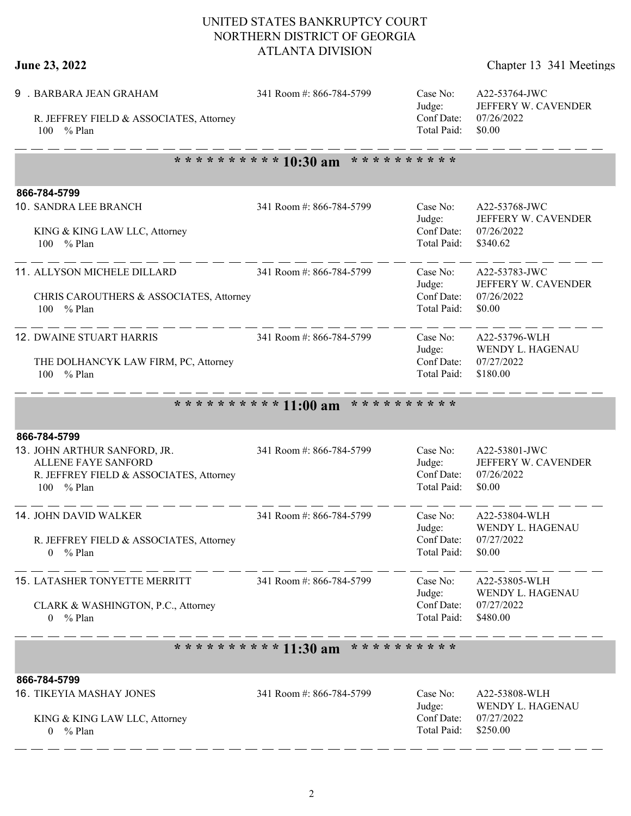| June 23, 2022 | Chapter 13 341 Meetings |
|---------------|-------------------------|
|---------------|-------------------------|

| 9 . BARBARA JEAN GRAHAM<br>R. JEFFREY FIELD & ASSOCIATES, Attorney<br>100 % Plan                                                | 341 Room #: 866-784-5799                                               | Case No:<br>Judge:<br>Conf Date:<br>Total Paid: | A22-53764-JWC<br>JEFFERY W. CAVENDER<br>07/26/2022<br>\$0.00   |  |  |
|---------------------------------------------------------------------------------------------------------------------------------|------------------------------------------------------------------------|-------------------------------------------------|----------------------------------------------------------------|--|--|
|                                                                                                                                 | ********** 10:30 am<br>* * * * * * * * * *                             |                                                 |                                                                |  |  |
| 866-784-5799                                                                                                                    |                                                                        |                                                 |                                                                |  |  |
| 10. SANDRA LEE BRANCH<br>KING & KING LAW LLC, Attorney<br>100 % Plan                                                            | 341 Room #: 866-784-5799                                               | Case No:<br>Judge:<br>Conf Date:<br>Total Paid: | A22-53768-JWC<br>JEFFERY W. CAVENDER<br>07/26/2022<br>\$340.62 |  |  |
| 11. ALLYSON MICHELE DILLARD<br>CHRIS CAROUTHERS & ASSOCIATES, Attorney<br>100 % Plan                                            | 341 Room #: 866-784-5799                                               | Case No:<br>Judge:<br>Conf Date:<br>Total Paid: | A22-53783-JWC<br>JEFFERY W. CAVENDER<br>07/26/2022<br>\$0.00   |  |  |
| 12. DWAINE STUART HARRIS<br>THE DOLHANCYK LAW FIRM, PC, Attorney<br>100 % Plan                                                  | 341 Room #: 866-784-5799                                               | Case No:<br>Judge:<br>Conf Date:<br>Total Paid: | A22-53796-WLH<br>WENDY L. HAGENAU<br>07/27/2022<br>\$180.00    |  |  |
| 866-784-5799<br>13. JOHN ARTHUR SANFORD, JR.<br>ALLENE FAYE SANFORD<br>R. JEFFREY FIELD & ASSOCIATES, Attorney<br>100<br>% Plan | ********** 11:00 am<br>* * * * * * * * * *<br>341 Room #: 866-784-5799 | Case No:<br>Judge:<br>Conf Date:<br>Total Paid: | A22-53801-JWC<br>JEFFERY W. CAVENDER<br>07/26/2022<br>\$0.00   |  |  |
| <b>14. JOHN DAVID WALKER</b><br>R. JEFFREY FIELD & ASSOCIATES, Attorney<br>$0 \frac{9}{6}$ Plan                                 | 341 Room #: 866-784-5799                                               | Case No:<br>Judge:<br>Conf Date:<br>Total Paid: | A22-53804-WLH<br>WENDY L. HAGENAU<br>07/27/2022<br>\$0.00      |  |  |
| 15. LATASHER TONYETTE MERRITT<br>CLARK & WASHINGTON, P.C., Attorney<br>$0 \frac{9}{6}$ Plan                                     | 341 Room #: 866-784-5799                                               | Case No:<br>Judge:<br>Conf Date:<br>Total Paid: | A22-53805-WLH<br>WENDY L. HAGENAU<br>07/27/2022<br>\$480.00    |  |  |
| * * * * * * * * * *<br>********** 11:30 am                                                                                      |                                                                        |                                                 |                                                                |  |  |
| 866-784-5799                                                                                                                    |                                                                        |                                                 |                                                                |  |  |
| 16. TIKEYIA MASHAY JONES<br>KING & KING LAW LLC, Attorney<br>$0 \frac{9}{6}$ Plan                                               | 341 Room #: 866-784-5799                                               | Case No:<br>Judge:<br>Conf Date:<br>Total Paid: | A22-53808-WLH<br>WENDY L. HAGENAU<br>07/27/2022<br>\$250.00    |  |  |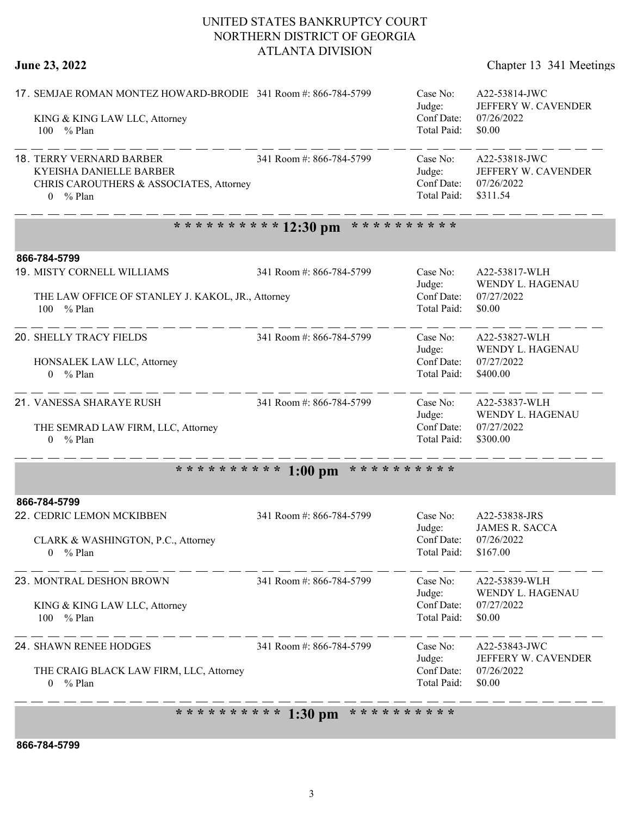17. SEMJAE ROMAN MONTEZ HOWARD-BRODIE 341 Room #: 866-784-5799 Case No:

### **866-784-5799**

| <b>18. TERRY VERNARD BARBER</b><br>KYEISHA DANIELLE BARBER<br>CHRIS CAROUTHERS & ASSOCIATES, Attorney<br>$0 \frac{9}{6}$ Plan | 341 Room #: 866-784-5799                   | Case No:<br>Judge:<br>Conf Date:<br>Total Paid: | A22-53818-JWC<br>JEFFERY W. CAVENDER<br>07/26/2022<br>\$311.54 |
|-------------------------------------------------------------------------------------------------------------------------------|--------------------------------------------|-------------------------------------------------|----------------------------------------------------------------|
|                                                                                                                               | ********** 12:30 pm<br>* * * * * * * * * * |                                                 |                                                                |
| 866-784-5799                                                                                                                  |                                            |                                                 |                                                                |
| 19. MISTY CORNELL WILLIAMS<br>THE LAW OFFICE OF STANLEY J. KAKOL, JR., Attorney                                               | 341 Room #: 866-784-5799                   | Case No:<br>Judge:<br>Conf Date:                | A22-53817-WLH<br>WENDY L. HAGENAU<br>07/27/2022                |
| 100<br>% Plan                                                                                                                 |                                            | Total Paid:                                     | \$0.00                                                         |
| <b>20. SHELLY TRACY FIELDS</b>                                                                                                | 341 Room #: 866-784-5799                   | Case No:<br>Judge:                              | A22-53827-WLH<br>WENDY L. HAGENAU                              |
| HONSALEK LAW LLC, Attorney<br>$0 \frac{9}{6}$ Plan                                                                            |                                            | Conf Date:<br>Total Paid:                       | 07/27/2022<br>\$400.00                                         |
| 21. VANESSA SHARAYE RUSH                                                                                                      | 341 Room #: 866-784-5799                   | Case No:<br>Judge:                              | A22-53837-WLH<br>WENDY L. HAGENAU                              |
| THE SEMRAD LAW FIRM, LLC, Attorney<br>$\Omega$<br>$%$ Plan                                                                    |                                            | Conf Date:<br>Total Paid:                       | 07/27/2022<br>\$300.00                                         |
| * * * * * * * * * * *                                                                                                         | * * * * * * * * * *<br>$1:00$ pm           |                                                 |                                                                |
| 866-784-5799                                                                                                                  |                                            |                                                 |                                                                |
| 22. CEDRIC LEMON MCKIBBEN                                                                                                     | 341 Room #: 866-784-5799                   | Case No:<br>Judge:                              | A22-53838-JRS<br><b>JAMES R. SACCA</b>                         |
| CLARK & WASHINGTON, P.C., Attorney<br>$0 \frac{9}{6}$ Plan                                                                    |                                            | Conf Date:<br>Total Paid:                       | 07/26/2022<br>\$167.00                                         |
| 23. MONTRAL DESHON BROWN                                                                                                      | 341 Room #: 866-784-5799                   | Case No:<br>Judge:                              | A22-53839-WLH<br>WENDY L. HAGENAU                              |
| KING & KING LAW LLC, Attorney<br>100 % Plan                                                                                   |                                            | Conf Date:<br>Total Paid:                       | 07/27/2022<br>\$0.00                                           |
| 24. SHAWN RENEE HODGES                                                                                                        | 341 Room #: 866-784-5799                   | Case No:<br>Judge:                              | A22-53843-JWC<br>JEFFERY W. CAVENDER                           |
| THE CRAIG BLACK LAW FIRM, LLC, Attorney<br>$0 \frac{9}{6}$ Plan                                                               |                                            | Conf Date:<br>Total Paid:                       | 07/26/2022<br>\$0.00                                           |

100 % Plan

\_ \_\_ \_\_ \_\_ \_\_ \_\_ \_\_

KING & KING LAW LLC, Attorney

### **June 23, 2022** Chapter 13 341 Meetings

Judge:

Conf Date: 07/26/2022 Total Paid: \$0.00

A22-53814-JWC

JEFFERY W. CAVENDER

**\* \* \* \* \* \* \* \* \* \* 1:30 pm \* \* \* \* \* \* \* \* \* \***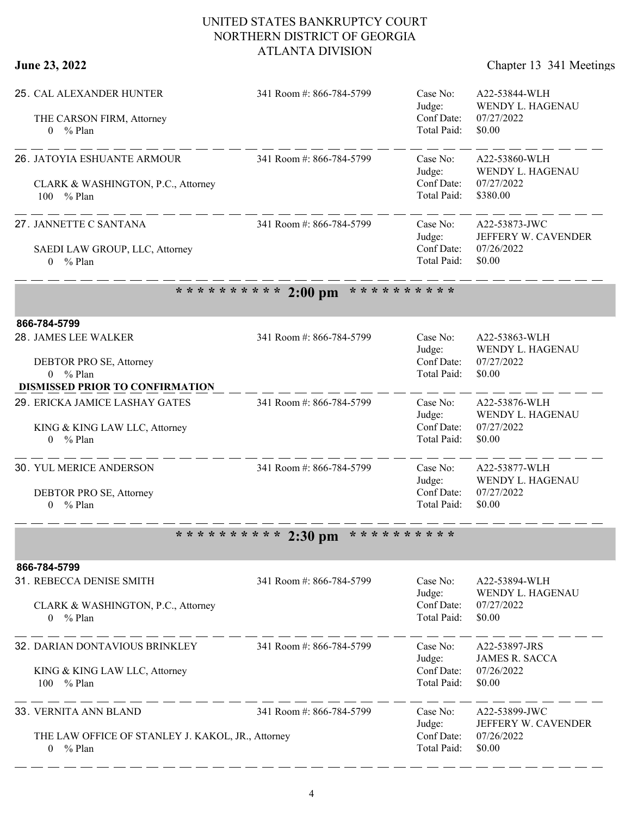**June 23, 2022** Chapter 13 341 Meetings

| 25. CAL ALEXANDER HUNTER<br>THE CARSON FIRM, Attorney<br>$0 \frac{9}{6}$ Plan                                     | 341 Room #: 866-784-5799 | Case No:<br>Judge:<br>Conf Date:<br>Total Paid: | A22-53844-WLH<br>WENDY L. HAGENAU<br>07/27/2022<br>\$0.00             |  |  |
|-------------------------------------------------------------------------------------------------------------------|--------------------------|-------------------------------------------------|-----------------------------------------------------------------------|--|--|
| 26. JATOYIA ESHUANTE ARMOUR<br>CLARK & WASHINGTON, P.C., Attorney<br>100 % Plan                                   | 341 Room #: 866-784-5799 | Case No:<br>Judge:<br>Conf Date:<br>Total Paid: | A22-53860-WLH<br>WENDY L. HAGENAU<br>07/27/2022<br>\$380.00           |  |  |
| 27. JANNETTE C SANTANA<br>SAEDI LAW GROUP, LLC, Attorney<br>$0 \frac{9}{6}$ Plan                                  | 341 Room #: 866-784-5799 | Case No:<br>Judge:<br>Conf Date:<br>Total Paid: | A22-53873-JWC<br>JEFFERY W. CAVENDER<br>07/26/2022<br>\$0.00          |  |  |
| * * * * * * * * * *                                                                                               | $2:00$ pm                | * * * * * * * * * *                             |                                                                       |  |  |
| 866-784-5799                                                                                                      |                          |                                                 |                                                                       |  |  |
| 28. JAMES LEE WALKER<br>DEBTOR PRO SE, Attorney<br>$0 \frac{9}{6}$ Plan<br><b>DISMISSED PRIOR TO CONFIRMATION</b> | 341 Room #: 866-784-5799 | Case No:<br>Judge:<br>Conf Date:<br>Total Paid: | A22-53863-WLH<br>WENDY L. HAGENAU<br>07/27/2022<br>\$0.00             |  |  |
| 29. ERICKA JAMICE LASHAY GATES<br>KING & KING LAW LLC, Attorney<br>$0 \frac{9}{6}$ Plan                           | 341 Room #: 866-784-5799 | Case No:<br>Judge:<br>Conf Date:<br>Total Paid: | A22-53876-WLH<br>WENDY L. HAGENAU<br>07/27/2022<br>\$0.00             |  |  |
| 30. YUL MERICE ANDERSON<br>DEBTOR PRO SE, Attorney<br>$0 \frac{9}{6}$ Plan                                        | 341 Room #: 866-784-5799 | Case No:<br>Judge:<br>Conf Date:<br>Total Paid: | A22-53877-WLH<br>WENDY L. HAGENAU<br>07/27/2022<br>\$0.00             |  |  |
| ********** 2:30 pm<br>* * * * * * * * * *                                                                         |                          |                                                 |                                                                       |  |  |
| 866-784-5799                                                                                                      |                          |                                                 |                                                                       |  |  |
| 31. REBECCA DENISE SMITH<br>CLARK & WASHINGTON, P.C., Attorney<br>$0 \frac{9}{6}$ Plan                            | 341 Room #: 866-784-5799 | Case No:<br>Judge:<br>Conf Date:<br>Total Paid: | A22-53894-WLH<br>WENDY L. HAGENAU<br>07/27/2022<br>\$0.00             |  |  |
| 32. DARIAN DONTAVIOUS BRINKLEY 341 Room #: 866-784-5799<br>KING & KING LAW LLC, Attorney<br>100 % Plan            |                          | Case No:<br>Judge:<br>Conf Date:<br>Total Paid: | A22-53897-JRS<br><b>JAMES R. SACCA</b><br>07/26/2022<br>\$0.00        |  |  |
| 33. VERNITA ANN BLAND<br>THE LAW OFFICE OF STANLEY J. KAKOL, JR., Attorney<br>$0 \frac{9}{6}$ Plan                | 341 Room #: 866-784-5799 | Judge:<br>Conf Date:<br>Total Paid:             | Case No: A22-53899-JWC<br>JEFFERY W. CAVENDER<br>07/26/2022<br>\$0.00 |  |  |